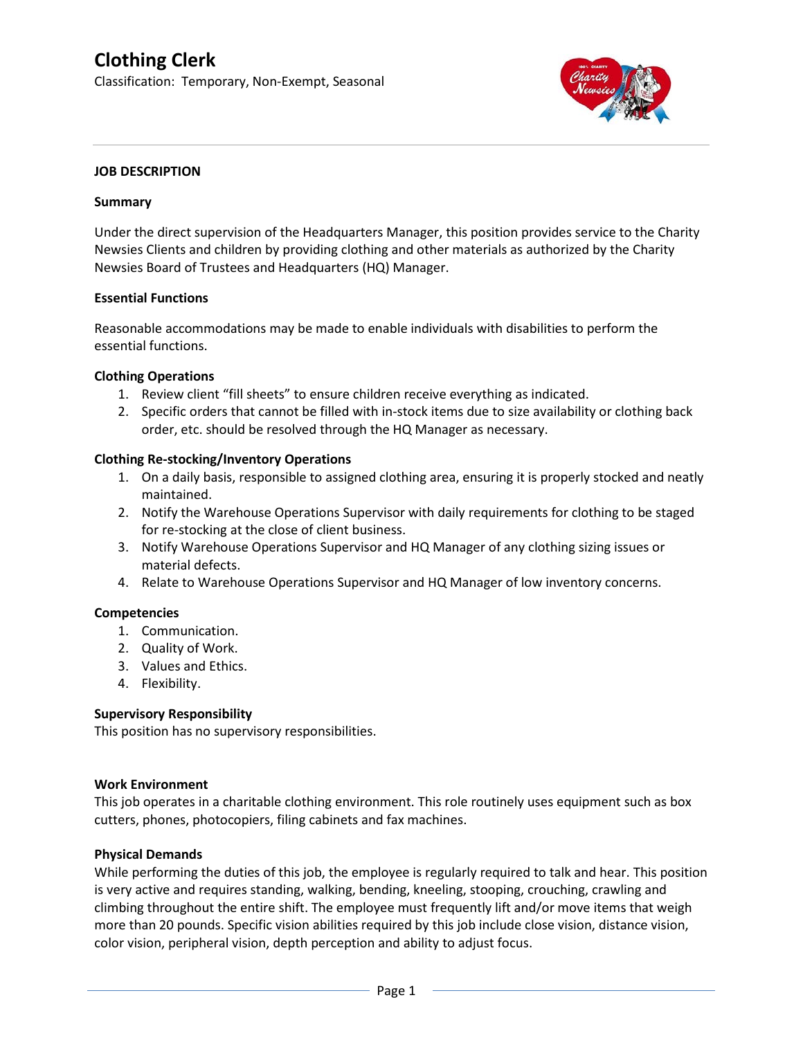# **Clothing Clerk**

Classification: Temporary, Non-Exempt, Seasonal



#### **JOB DESCRIPTION**

#### **Summary**

Under the direct supervision of the Headquarters Manager, this position provides service to the Charity Newsies Clients and children by providing clothing and other materials as authorized by the Charity Newsies Board of Trustees and Headquarters (HQ) Manager.

# **Essential Functions**

Reasonable accommodations may be made to enable individuals with disabilities to perform the essential functions.

#### **Clothing Operations**

- 1. Review client "fill sheets" to ensure children receive everything as indicated.
- 2. Specific orders that cannot be filled with in-stock items due to size availability or clothing back order, etc. should be resolved through the HQ Manager as necessary.

# **Clothing Re-stocking/Inventory Operations**

- 1. On a daily basis, responsible to assigned clothing area, ensuring it is properly stocked and neatly maintained.
- 2. Notify the Warehouse Operations Supervisor with daily requirements for clothing to be staged for re-stocking at the close of client business.
- 3. Notify Warehouse Operations Supervisor and HQ Manager of any clothing sizing issues or material defects.
- 4. Relate to Warehouse Operations Supervisor and HQ Manager of low inventory concerns.

# **Competencies**

- 1. Communication.
- 2. Quality of Work.
- 3. Values and Ethics.
- 4. Flexibility.

# **Supervisory Responsibility**

This position has no supervisory responsibilities.

#### **Work Environment**

This job operates in a charitable clothing environment. This role routinely uses equipment such as box cutters, phones, photocopiers, filing cabinets and fax machines.

# **Physical Demands**

While performing the duties of this job, the employee is regularly required to talk and hear. This position is very active and requires standing, walking, bending, kneeling, stooping, crouching, crawling and climbing throughout the entire shift. The employee must frequently lift and/or move items that weigh more than 20 pounds. Specific vision abilities required by this job include close vision, distance vision, color vision, peripheral vision, depth perception and ability to adjust focus.